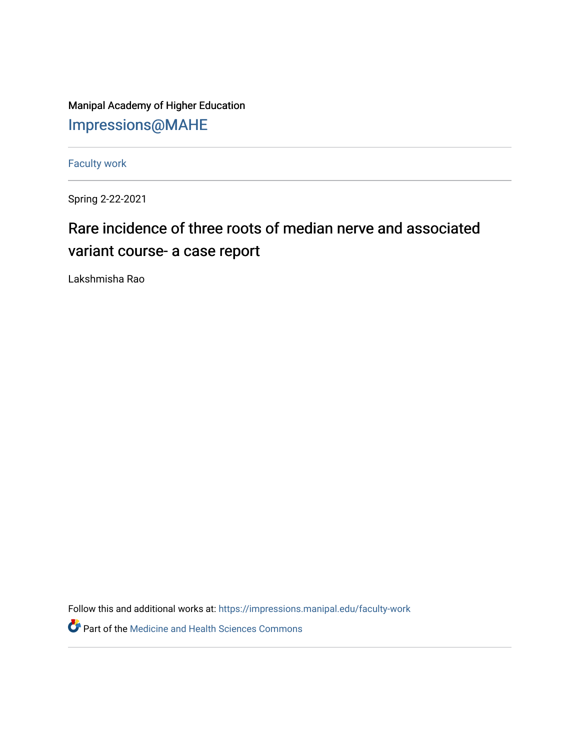Manipal Academy of Higher Education [Impressions@MAHE](https://impressions.manipal.edu/)

[Faculty work](https://impressions.manipal.edu/faculty-work) 

Spring 2-22-2021

## Rare incidence of three roots of median nerve and associated variant course- a case report

Lakshmisha Rao

Follow this and additional works at: [https://impressions.manipal.edu/faculty-work](https://impressions.manipal.edu/faculty-work?utm_source=impressions.manipal.edu%2Ffaculty-work%2F101&utm_medium=PDF&utm_campaign=PDFCoverPages) 

Part of the [Medicine and Health Sciences Commons](http://network.bepress.com/hgg/discipline/648?utm_source=impressions.manipal.edu%2Ffaculty-work%2F101&utm_medium=PDF&utm_campaign=PDFCoverPages)